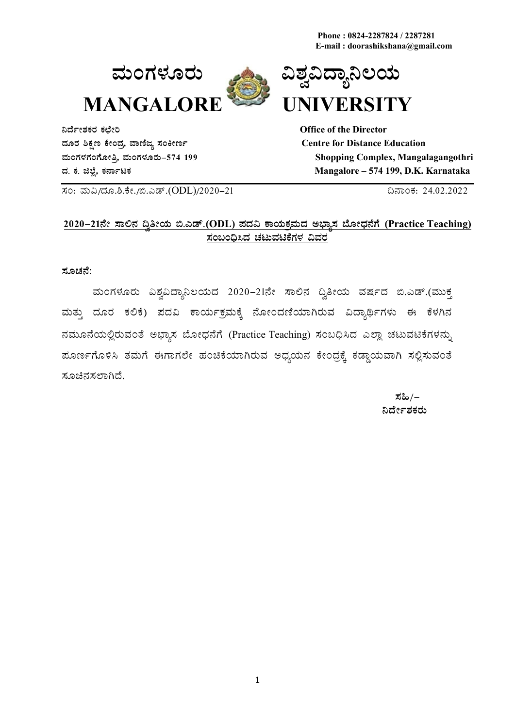**Phone : 0824-2287824 / 2287281 E-mail : doorashikshana@gmail.com**





**¤zÉðñÀPÀgÀ PÀbÉÃj Office of the Director zÀÆgÀ ²PÀët PÉÃAzÀæ, ªÁtÂdå ¸ÀAQÃtð Centre for Distance Education**

**ªÀÄAUÀ¼ÀUÀAUÉÆÃwæ, ªÀÄAUÀ¼ÀÆgÀÄ-574 199 Shopping Complex, Mangalagangothri zÀ. PÀ. f¯É è, PÀ£ÁðlPÀ Mangalore – 574 199, D.K. Karnataka** 

¸ÀA: ªÀÄ«/zÀÆ.².PÉÃ./©.Jqï.(ODL)/2020-21 ¢£ÁAPÀ: 24.02.2022

#### **2020-21£Éà ¸Á°£À ¢éwÃAiÀÄ ©.Jqï.(ODL) ¥ÀzÀ« PÁAiÀÄPÀæªÀÄzÀ C¨sÁå¸À ¨ÉÆÃzsÀ£ÉUÉ (Practice Teaching)**  $\bar{x}$ ಂಬಂದಿಸಿದ ಚಟುವಟಿಕೆಗಳ ವಿವರ

**¸ÀÆZÀ£É:**

ಮಂಗಳೂರು ವಿಶ್ವವಿದ್ಯಾನಿಲಯದ 2020–21ನೇ ಸಾಲಿನ ದ್ವಿತೀಯ ವರ್ಷದ ಬಿ.ಎಡ್.(ಮುಕ್ತ ಮತ್ತು ದೂರ ಕಲಿಕೆ) ಪದವಿ ಕಾರ್ಯಕ್ರಮಕ್ಕೆ ನೋಂದಣಿಯಾಗಿರುವ ವಿದ್ಯಾರ್ಥಿಗಳು ಈ ಕೆಳಗಿನ ನಮೂನೆಯಲ್ಲಿರುವಂತೆ ಅಭ್ಯಾಸ ಬೋಧನೆಗೆ (Practice Teaching) ಸಂಬಧಿಸಿದ ಎಲ್ಲಾ ಚಟುವಟಿಕೆಗಳನ್ನು ಹೂರ್ಣಗೊಳಿಸಿ ತಮಗೆ ಈಗಾಗಲೇ ಹಂಚಿಕೆಯಾಗಿರುವ ಅಧ್ಯಯನ ಕೇಂದ್ರಕ್ಕೆ ಕಡ್ಡಾಯವಾಗಿ ಸಲ್ಲಿಸುವಂತೆ ಸೂಚಿನಸಲಾಗಿದೆ.

 $\frac{1}{2} \frac{1}{2} \frac{1}{2} \frac{1}{2} \frac{1}{2} \frac{1}{2} \frac{1}{2} \frac{1}{2} \frac{1}{2} \frac{1}{2} \frac{1}{2} \frac{1}{2} \frac{1}{2} \frac{1}{2} \frac{1}{2} \frac{1}{2} \frac{1}{2} \frac{1}{2} \frac{1}{2} \frac{1}{2} \frac{1}{2} \frac{1}{2} \frac{1}{2} \frac{1}{2} \frac{1}{2} \frac{1}{2} \frac{1}{2} \frac{1}{2} \frac{1}{2} \frac{1}{2} \frac{1}{2} \frac{$ ್ಷಿಷ್ <u>ಕಾರ್ಮಿನಿರ್ದೇಶಕರು ಸಂಪುಟ</u>್ಟು ಸಂಪುಟದ ಸಂಪುಟದ ಸಂಪುಟದ ಸಂಪುಟದ ಸಂಪುಟದ ಸಂಪುಟದ ಸಂಪುಟದ ಸಂಪುಟದ ಸಂಪುಟದ ಸಂಪುಟದ ಸಂಪುಟದ ಸ<br>ಬೆಳೆಗೆ ಕಾರ್ಯ ಸಂಪುಟದ ಸಂಪುಟದ ಸಂಪುಟದ ಸಂಪುಟದ ಸಂಪುಟದ ಸಂಪುಟದ ಸಂಪುಟದ ಸಂಪುಟದ ಸಂಪುಟದ ಸಂಪುಟದ ಸಂಪುಟದ ಸಂಪುಟದ ಸಂಪುಟದ ಸಂ

1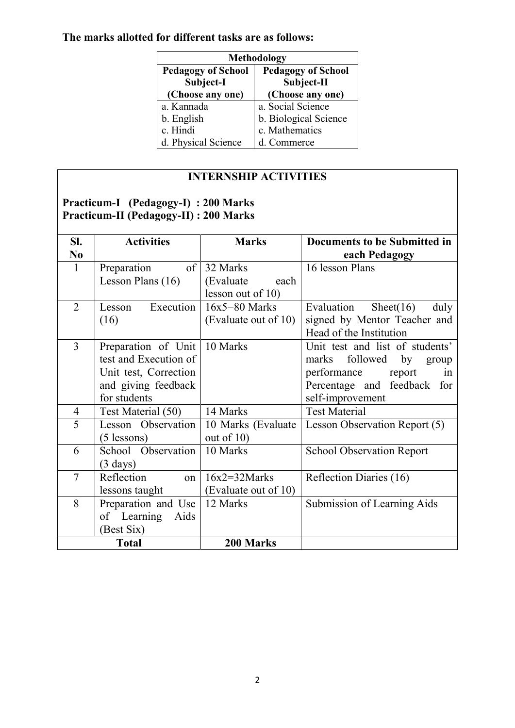# **The marks allotted for different tasks are as follows:**

| Methodology               |                           |  |  |
|---------------------------|---------------------------|--|--|
| <b>Pedagogy of School</b> | <b>Pedagogy of School</b> |  |  |
| Subject-I                 | Subject-II                |  |  |
| (Choose any one)          | (Choose any one)          |  |  |
| a. Kannada                | a. Social Science         |  |  |
| b. English                | b. Biological Science     |  |  |
| c. Hindi                  | c. Mathematics            |  |  |
| d. Physical Science       | d. Commerce               |  |  |

## **INTERNSHIP ACTIVITIES**

# **Practicum-I (Pedagogy-I) : 200 Marks Practicum-II (Pedagogy-II) : 200 Marks**

| SI.            | <b>Activities</b>     | <b>Marks</b>         | <b>Documents to be Submitted in</b> |
|----------------|-----------------------|----------------------|-------------------------------------|
| N <sub>0</sub> |                       |                      | each Pedagogy                       |
| $\mathbf{1}$   | Preparation           | of 32 Marks          | 16 lesson Plans                     |
|                | Lesson Plans (16)     | (Evaluate)<br>each   |                                     |
|                |                       | lesson out of $10$ ) |                                     |
| $\overline{2}$ | Execution<br>Lesson   | $16x5 = 80$ Marks    | Evaluation<br>Sheet $(16)$<br>duly  |
|                | (16)                  | (Evaluate out of 10) | signed by Mentor Teacher and        |
|                |                       |                      | Head of the Institution             |
| $\overline{3}$ | Preparation of Unit   | 10 Marks             | Unit test and list of students'     |
|                | test and Execution of |                      | followed<br>by<br>marks<br>group    |
|                | Unit test, Correction |                      | performance<br>report<br>in         |
|                | and giving feedback   |                      | Percentage and feedback for         |
|                | for students          |                      | self-improvement                    |
| $\overline{4}$ | Test Material (50)    | 14 Marks             | <b>Test Material</b>                |
| 5              | Lesson Observation    | 10 Marks (Evaluate)  | Lesson Observation Report (5)       |
|                | $(5$ lessons)         | out of $10$ )        |                                     |
| 6              | School Observation    | 10 Marks             | <b>School Observation Report</b>    |
|                | $(3 \text{ days})$    |                      |                                     |
| $\overline{7}$ | Reflection<br>on      | $16x2 = 32 Marks$    | Reflection Diaries (16)             |
|                | lessons taught        | (Evaluate out of 10) |                                     |
| 8              | Preparation and Use   | 12 Marks             | Submission of Learning Aids         |
|                | of Learning<br>Aids   |                      |                                     |
|                | (Best Six)            |                      |                                     |
|                | <b>Total</b>          | 200 Marks            |                                     |